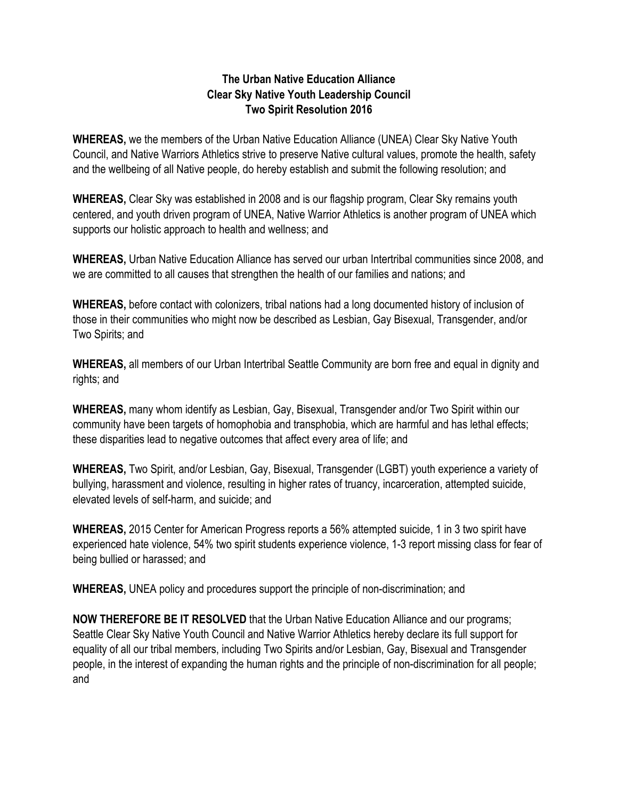## **The Urban Native Education Alliance Clear Sky Native Youth Leadership Council Two Spirit Resolution 2016**

**WHEREAS,** we the members of the Urban Native Education Alliance (UNEA) Clear Sky Native Youth Council, and Native Warriors Athletics strive to preserve Native cultural values, promote the health, safety and the wellbeing of all Native people, do hereby establish and submit the following resolution; and

**WHEREAS,** Clear Sky was established in 2008 and is our flagship program, Clear Sky remains youth centered, and youth driven program of UNEA, Native Warrior Athletics is another program of UNEA which supports our holistic approach to health and wellness; and

**WHEREAS,** Urban Native Education Alliance has served our urban Intertribal communities since 2008, and we are committed to all causes that strengthen the health of our families and nations; and

**WHEREAS,** before contact with colonizers, tribal nations had a long documented history of inclusion of those in their communities who might now be described as Lesbian, Gay Bisexual, Transgender, and/or Two Spirits; and

**WHEREAS,** all members of our Urban Intertribal Seattle Community are born free and equal in dignity and rights; and

**WHEREAS,** many whom identify as Lesbian, Gay, Bisexual, Transgender and/or Two Spirit within our community have been targets of homophobia and transphobia, which are harmful and has lethal effects; these disparities lead to negative outcomes that affect every area of life; and

**WHEREAS,** Two Spirit, and/or Lesbian, Gay, Bisexual, Transgender (LGBT) youth experience a variety of bullying, harassment and violence, resulting in higher rates of truancy, incarceration, attempted suicide, elevated levels of self-harm, and suicide; and

**WHEREAS,** 2015 Center for American Progress reports a 56% attempted suicide, 1 in 3 two spirit have experienced hate violence, 54% two spirit students experience violence, 1-3 report missing class for fear of being bullied or harassed; and

**WHEREAS,** UNEA policy and procedures support the principle of non-discrimination; and

**NOW THEREFORE BE IT RESOLVED** that the Urban Native Education Alliance and our programs; Seattle Clear Sky Native Youth Council and Native Warrior Athletics hereby declare its full support for equality of all our tribal members, including Two Spirits and/or Lesbian, Gay, Bisexual and Transgender people, in the interest of expanding the human rights and the principle of non-discrimination for all people; and